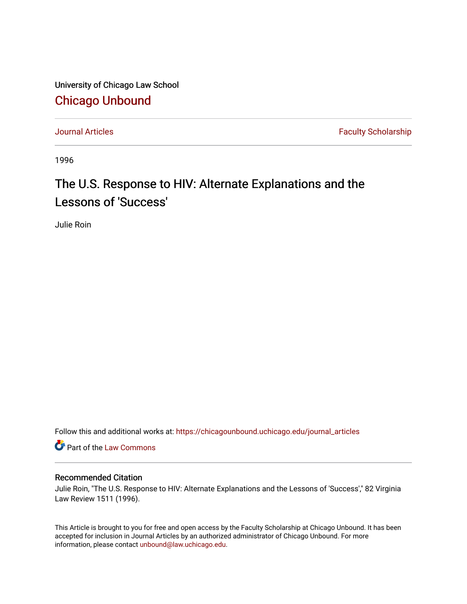University of Chicago Law School [Chicago Unbound](https://chicagounbound.uchicago.edu/)

[Journal Articles](https://chicagounbound.uchicago.edu/journal_articles) **Faculty Scholarship Journal Articles** 

1996

# The U.S. Response to HIV: Alternate Explanations and the Lessons of 'Success'

Julie Roin

Follow this and additional works at: [https://chicagounbound.uchicago.edu/journal\\_articles](https://chicagounbound.uchicago.edu/journal_articles?utm_source=chicagounbound.uchicago.edu%2Fjournal_articles%2F7220&utm_medium=PDF&utm_campaign=PDFCoverPages) 

Part of the [Law Commons](http://network.bepress.com/hgg/discipline/578?utm_source=chicagounbound.uchicago.edu%2Fjournal_articles%2F7220&utm_medium=PDF&utm_campaign=PDFCoverPages)

# Recommended Citation

Julie Roin, "The U.S. Response to HIV: Alternate Explanations and the Lessons of 'Success'," 82 Virginia Law Review 1511 (1996).

This Article is brought to you for free and open access by the Faculty Scholarship at Chicago Unbound. It has been accepted for inclusion in Journal Articles by an authorized administrator of Chicago Unbound. For more information, please contact [unbound@law.uchicago.edu](mailto:unbound@law.uchicago.edu).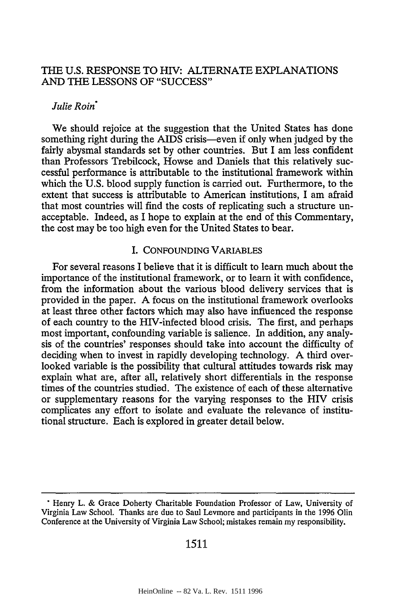# THE U.S. RESPONSE TO HIV: ALTERNATE EXPLANATIONS AND THE LESSONS OF "SUCCESS"

## *Julie Roin"*

We should rejoice at the suggestion that the United States has done something right during the AIDS crisis-even if only when judged by the fairly abysmal standards set by other countries. But I am less confident than Professors Trebilcock, Howse and Daniels that this relatively successful performance is attributable to the institutional framework within which the U.S. blood supply function is carried out. Furthermore, to the extent that success is attributable to American institutions, I am afraid that most countries will find the costs of replicating such a structure unacceptable. Indeed, as I hope to explain at the end of this Commentary, the cost may be too high even for the United States to bear.

## I. CONFOUNDING VARIABLES

For several reasons I believe that it is difficult to learn much about the importance of the institutional framework, or to learn it with confidence, from the information about the various blood delivery services that is provided in the paper. A focus on the institutional framework overlooks at least three other factors which may also have influenced the response of each country to the HIV-infected blood crisis. The first, and perhaps most important, confounding variable is salience. In addition, any analysis of the countries' responses should take into account the difficulty of deciding when to invest in rapidly developing technology. A third overlooked variable is the possibility that cultural attitudes towards risk may explain what are, after all, relatively short differentials in the response times of the countries studied. The existence of each of these alternative or supplementary reasons for the varying responses to the HIV crisis complicates any effort to isolate and evaluate the relevance of institutional structure. Each is explored in greater detail below.

**<sup>&#</sup>x27;** Henry L. & Grace Doherty Charitable Foundation Professor of Law, University of Virginia Law School. Thanks are due to Saul Levmore and participants in the 1996 Olin Conference at the University of Virginia Law School; mistakes remain my responsibility.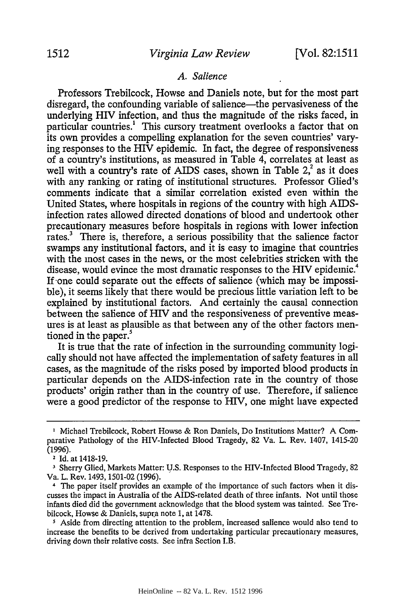## *A. Salience*

Professors Trebilcock, Howse and Daniels note, but for the most part disregard, the confounding variable of salience—the pervasiveness of the underlying HIV infection, and thus the magnitude of the risks faced, in particular countries.' This cursory treatment overlooks a factor that on its own provides a compelling explanation for the seven countries' varying responses to the HIV epidemic. In fact, the degree of responsiveness of a country's institutions, as measured in Table 4, correlates at least as well with a country's rate of AIDS cases, shown in Table  $2<sup>2</sup>$  as it does with any ranking or rating of institutional structures. Professor Glied's comments indicate that a similar correlation existed even within the United States, where hospitals in regions of the country with high AIDSinfection rates allowed directed donations of blood and undertook other precautionary measures before hospitals in regions with lower infection rates? There is, therefore, a serious possibility that the salience factor swamps any institutional factors, and it is easy to imagine that countries with the most cases in the news, or the most celebrities stricken with the disease, would evince the most dramatic responses to the HIV epidemic.<sup>4</sup> If one could separate out the effects of salience (which may be impossible), it seems likely that there would be precious little variation left to be explained by institutional factors. And certainly the causal connection between the salience of HIV and the responsiveness of preventive measures is at least as plausible as that between any of the other factors mentioned in the paper.'

It is true that the rate of infection in the surrounding community logically should not have affected the implementation of safety features in all cases, as the magnitude of the risks posed by imported blood products in particular depends on the AIDS-infection rate in the country of those products' origin rather than in the country of use. Therefore, if salience were a good predictor of the response to HIV, one might have expected

<sup>&</sup>lt;sup>1</sup> Michael Trebilcock, Robert Howse & Ron Daniels, Do Institutions Matter? A Comparative Pathology of the HIV-Infected Blood Tragedy, 82 Va. L. Rev. 1407, 1415-20 (1996).

**<sup>2</sup>** Id. at 1418-19.

**<sup>3</sup>**Sherry Glied, Markets Matter: U.S. Responses to the HIV-Infected Blood Tragedy, 82 Va. L. Rev. 1493, 1501-02 (1996).

**<sup>4</sup>** The paper itself provides an example of the importance of such factors when it discusses the impact in Australia of the AIDS-related death of three infants. Not until those infants died did the government acknowledge that the blood system was tainted. See Trebilcock, Howse & Daniels, supra note 1, at 1478.

**<sup>5</sup>** Aside from directing attention to the problem, increased salience would also tend to increase the benefits to be derived from undertaking particular precautionary measures, driving down their relative costs. See infra Section I.B.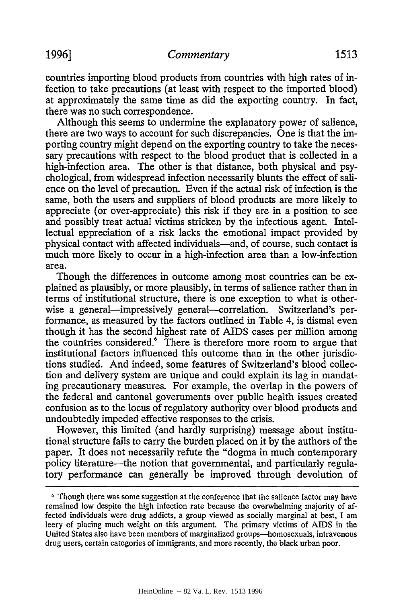countries importing blood products from countries with high rates of infection to take precautions (at least with respect to the imported blood) at approximately the same time as did the exporting country. In fact, there was no such correspondence.

Although this seems to undermine the explanatory power of salience, there are two ways to account for such discrepancies. One is that the importing country might depend on the exporting country to take the necessary precautions with respect to the blood product that is collected in a high-infection area. The other is that distance, both physical and psychological, from widespread infection necessarily blunts the effect of salience on the level of precaution. Even if the actual risk of infection is the same, both the users and suppliers of blood products are more likely to appreciate (or over-appreciate) this risk if they are in a position to see and possibly treat actual victims stricken by the infectious agent. Intellectual appreciation of a risk lacks the emotional impact provided by physical contact with affected individuals-and, of course, such contact is much more likely to occur in a high-infection area than a low-infection area.

Though the differences in outcome among most countries can be explained as plausibly, or more plausibly, in terms of salience rather than in terms of institutional structure, there is one exception to what is otherwise a general-impressively general-correlation. Switzerland's performance, as measured by the factors outlined in Table 4, is dismal even though it has the second highest rate of AIDS cases per million among the countries considered.<sup>6</sup> There is therefore more room to argue that institutional factors influenced this outcome than in the other jurisdictions studied. And indeed, some features of Switzerland's blood collection and delivery system are unique and could explain its lag in mandating precautionary measures. For example, the overlap in the powers of the federal and cantonal governments over public health issues created confusion as to the locus of regulatory authority over blood products and undoubtedly impeded effective responses to the crisis.

However, this limited (and hardly surprising) message about institutional structure fails to carry the burden placed on it by the authors of the paper. It does not necessarily refute the "dogma in much contemporary policy literature—the notion that governmental, and particularly regulatory performance can generally be improved through devolution of

**<sup>6</sup>**Though there was some suggestion at the conference that the salience factor may have remained low despite the high infection rate because the overwhelming majority of affected individuals were drug addicts, a group viewed as socially marginal at best, I am leery of placing much weight on this argument. The primary victims of AIDS in the United States also have been members of marginalized groups—homosexuals, intravenous drug users, certain categories of immigrants, and more recently, the black urban poor.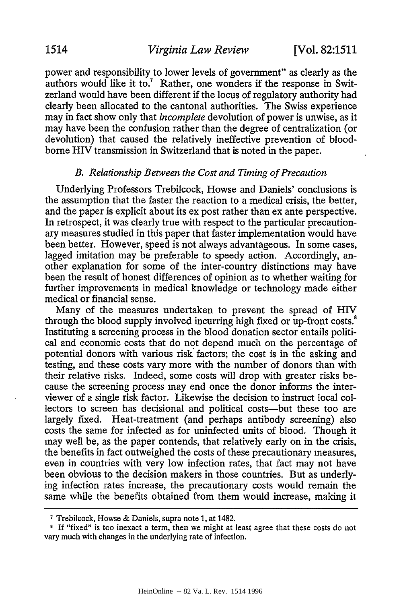power and responsibility to lower levels of government" as clearly as the authors would like it to.<sup>7</sup> Rather, one wonders if the response in Switzerland would have been different if the locus of regulatory authority had clearly been allocated to the cantonal authorities. The Swiss experience may in fact show only that *incomplete* devolution of power is unwise, as it may have been the confusion rather than the degree of centralization (or devolution) that caused the relatively ineffective prevention of bloodborne HIV transmission in Switzerland that is noted in the paper.

#### *B. Relationship Between the Cost and Timing of Precaution*

Underlying Professors Trebilcock, Howse and Daniels' conclusions is the assumption that the faster the reaction to a medical crisis, the better, and the paper is explicit about its ex post rather than ex ante perspective. In retrospect, it was clearly true with respect to the particular precautionary measures studied in this paper that faster implementation would have been better. However, speed is not always advantageous. In some cases, lagged imitation may be preferable to speedy action. Accordingly, another explanation for some of the inter-country distinctions may have been the result of honest differences of opinion as to whether waiting for further improvements in medical knowledge or technology made either medical or financial sense.

Many of the measures undertaken to prevent the spread of HIV through the blood supply involved incurring high fixed or up-front costs.<sup>8</sup> Instituting a screening process in the blood donation sector entails political and economic costs that do not depend much on the percentage of potential donors with various risk factors; the cost is in the asking and testing, and these costs vary more with the number of donors than with their relative risks. Indeed, some costs will drop with greater risks because the screening process may end once the donor informs the interviewer of a single risk factor. Likewise the decision to instruct local collectors to screen has decisional and political costs-but these too are largely fixed. Heat-treatment (and perhaps antibody screening) also costs the same for infected as for uninfected units of blood. Though it may well be, as the paper contends, that relatively early on in the crisis, the benefits in fact outweighed the costs of these precautionary measures, even in countries with very low infection rates, that fact may not have been obvious to the decision makers in those countries. But as underlying infection rates increase, the precautionary costs would remain the same while the benefits obtained from them would increase, making it

**<sup>7</sup>** Trebilcock, Howse & Daniels, supra note 1, at 1482.

**<sup>1</sup>** If "fixed" is too inexact a term, then we might at least agree that these costs do not vary much with changes in the underlying rate of infection.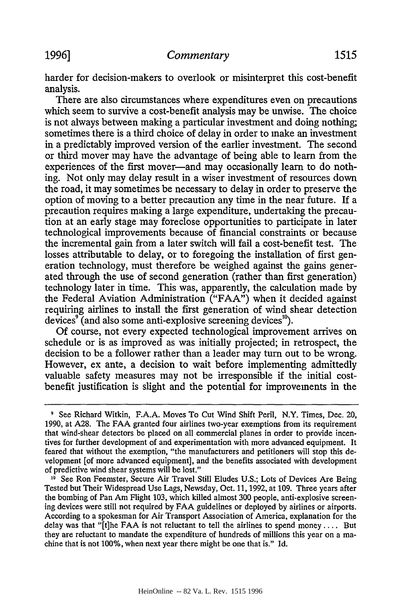harder for decision-makers to overlook or misinterpret this cost-benefit analysis.

There are also circumstances where expenditures even on precautions which seem to survive a cost-benefit analysis may be unwise. The choice is not always between making a particular investment and doing nothing; sometimes there is a third choice of delay in order to make an investment in a predictably improved version of the earlier investment. The second or third mover may have the advantage of being able to learn from the experiences of the first mover—and may occasionally learn to do nothing. Not only may delay result in a wiser investment of resources down the road, it may sometimes be necessary to delay in order to preserve the option of moving to a better precaution any time in the near future. If a precaution requires making a large expenditure, undertaking the precaution at an early stage may foreclose opportunities to participate in later technological improvements because of financial constraints or because the incremental gain from a later switch will fail a cost-benefit test. The losses attributable to delay, or to foregoing the installation of first generation technology, must therefore be weighed against the gains generated through the use of second generation (rather than first generation) technology later in time. This was, apparently, the calculation made by the Federal Aviation Administration ("FAA") when it decided against requiring airlines to install the first generation of wind shear detection devices<sup> $\theta$ </sup> (and also some anti-explosive screening devices<sup>10</sup>).

Of course, not every expected technological improvement arrives on schedule or is as improved as was initially projected; in retrospect, the decision to be a follower rather than a leader may turn out to be wrong. However, ex ante, a decision to wait before implementing admittedly valuable safety measures may not be irresponsible if the initial costbenefit justification is slight and the potential for improvements in the

**<sup>9</sup>** See Richard Witkin, F.A.A. Moves To Cut Wind Shift Peril, N.Y. Times, Dec. 20, 1990, at A28. The FAA granted four airlines two-year exemptions from its requirement that wind-shear detectors be placed on all commercial planes in order to provide incentives for further development of and experimentation with more advanced equipment. It feared that without the exemption, "the manufacturers and petitioners will stop this development [of more advanced equipment], and the benefits associated with development of predictive wind shear systems will be lost."

<sup>&</sup>lt;sup>10</sup> See Ron Feemster, Secure Air Travel Still Eludes U.S.; Lots of Devices Are Being Tested but Their Widespread Use Lags, Newsday, Oct. 11, 1992, at 109. Three years after the bombing of Pan Am Flight 103, which killed almost 300 people, anti-explosive screening devices were still not required by FAA guidelines or deployed by airlines or airports. According to a spokesman for Air Transport Association of America, explanation for the delay was that "[t]he FAA is not reluctant to tell the airlines to spend money .... But they are reluctant to mandate the expenditure of hundreds of millions this year on a machine that is not 100%, when next year there might be one that is." Id.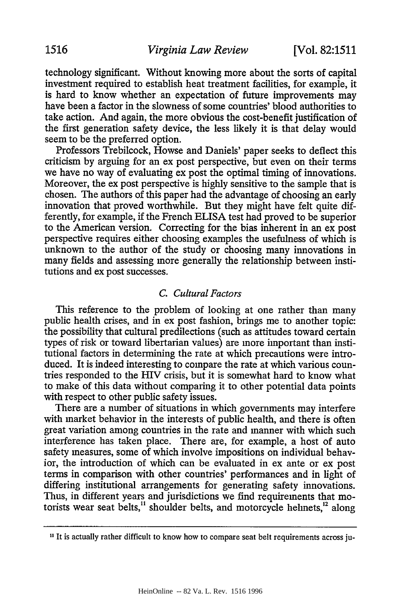technology significant. Without knowing more about the sorts of capital investment required to establish heat treatment facilities, for example, it is hard to know whether an expectation of future improvements may have been a factor in the slowness of some countries' blood authorities to take action. And again, the more obvious the cost-benefit justification of the first generation safety device, the less likely it is that delay would seem to be the preferred option.

Professors Trebilcock, Howse and Daniels' paper seeks to deflect this criticism by arguing for an ex post perspective, but even on their terms we have no way of evaluating ex post the optimal timing of innovations. Moreover, the ex post perspective is highly sensitive to the sample that is chosen. The authors of this paper had the advantage of choosing an early innovation that proved worthwhile. But they might have felt quite differently, for example, if the French ELISA test had proved to be superior to the American version. Correcting for the bias inherent in an ex post perspective requires either choosing examples the usefulness of which is unknown to the author of the study or choosing many innovations in many fields and assessing more generally the relationship between institutions and ex post successes.

# *C. Cultural Factors*

This reference to the problem of looking at one rather than many public health crises, and in ex post fashion, brings me to another topic: the possibility that cultural predilections (such as attitudes toward certain types of risk or toward libertarian values) are more important than institutional factors in determining the rate at which precautions were introduced. It is indeed interesting to compare the rate at which various countries responded to the HIV crisis, but it is somewhat hard to know what to make of this data without comparing it to other potential data points with respect to other public safety issues.

There are a number of situations in which governments may interfere with market behavior in the interests of public health, and there is often great variation among countries in the rate and manner with which such interference has taken place. There are, for example, a host of auto safety measures, some of which involve impositions on individual behavior, the introduction of which can be evaluated in ex ante or ex post terms in comparison with other countries' performances and in light of differing institutional arrangements for generating safety innovations. Thus, in different years and jurisdictions we find requirements that motorists wear seat belts, $<sup>11</sup>$  shoulder belts, and motorcycle helmets, $<sup>12</sup>$  along</sup></sup>

**<sup>11</sup>** It is actually rather difficult to know how to compare seat belt requirements across ju-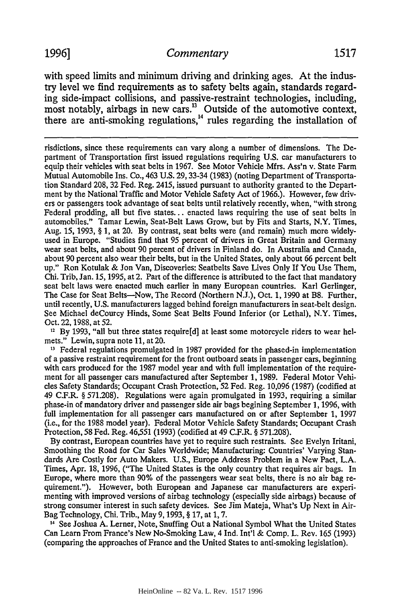with speed limits and minimum driving and drinking ages. At the industry level we find requirements as to safety belts again, standards regarding side-impact collisions, and passive-restraint technologies, including, most notably, airbags in new cars.<sup>13</sup> Outside of the automotive context there are anti-smoking regulations,<sup>14</sup> rules regarding the installation of

risdictions, since these requirements can vary along a number of dimensions. The Department of Transportation first issued regulations requiring U.S. car manufacturers to equip their vehicles with seat belts in 1967. See Motor Vehicle Mfrs. Ass'n v. State Farm Mutual Automobile Ins. Co., 463 U.S. 29, 33-34 (1983) (noting Department of Transportation Standard 208, 32 Fed. Reg. 2415, issued pursuant to authority granted to the Department by the National Traffic and Motor Vehicle Safety Act of 1966.). However, few drivers or passengers took advantage of seat belts until relatively recently, when, "with strong Federal prodding, all but five states... enacted laws requiring the use of seat belts in automobiles." Tamar Lewin, Seat-Belt Laws Grow, but by Fits and Starts, N.Y. Times, Aug. 15, 1993, § 1, at 20. By contrast, seat belts were (and remain) much more widelyused in Europe. "Studies find that 95 percent of drivers in Great Britain and Germany wear seat belts, and about 90 percent of drivers in Finland do. In Australia and Canada, about 90 percent also wear their belts, but in the United States, only about 66 percent belt up." Ron Kotulak & Jon Van, Discoveries: Seatbelts Save Lives Only If You Use Them, Chi. Trib, Jan. 15, 1995, at 2. Part of the difference is attributed to the fact that mandatory seat belt laws were enacted much earlier in many European countries. Karl Gerlinger, The Case for Seat Belts--Now, The Record (Northern N.J.), Oct. 1, 1990 at B8. Further, until recently, U.S. manufacturers lagged behind foreign manufacturers in seat-belt design. See Michael deCourcy Hinds, Some Seat Belts Found Inferior (or Lethal), N.Y. Times, Oct. 22, 1988, at 52.

**12** By 1993, "all but three states require[d] at least some motorcycle riders to wear helmets." Lewin, supra note 11, at 20.

<sup>13</sup> Federal regulations promulgated in 1987 provided for the phased-in implementation of a passive restraint requirement for the front outboard seats in passenger cars, beginning with cars produced for the 1987 model year and with full implementation of the requirement for all passenger cars manufactured after September 1, 1989. Federal Motor Vehicles Safety Standards; Occupant Crash Protection, 52 Fed. Reg. 10,096 (1987) (codified at 49 C.F.R. § 571.208). Regulations were again promulgated in 1993, requiring a similar phase-in of mandatory driver and passenger side air bags begining September 1, 1996, with full implementation for all passenger cars manufactured on or after September 1, 1997 (i.e., for the 1988 model year). Federal Motor Vehicle Safety Standards; Occupant Crash Protection, 58 Fed. Reg. 46,551 (1993) (codified at 49 C.F.R. § 571.208).

By contrast, European countries have yet to require such restraints. See Evelyn Iritani, Smoothing the Road for Car Sales Worldwide; Manufacturing: Countries' Varying Standards Are Costly for Auto Makers. U.S., Europe Address Problem in a New Pact, L.A. Times, Apr. 18, 1996, ("The United States is the only country that requires air bags. In Europe, where more than 90% of the passengers wear seat belts, there is no air bag requirement."). However, both European and Japanese car manufacturers are experimenting with improved versions of airbag technology (especially side airbags) because of strong consumer interest in such safety devices. See Jim Mateja, What's Up Next in Air-Bag Technology, Chi. Trib., May 9, 1993, § 17, at 1, 7.

14 See Joshua A. Lerner, Note, Snuffing Out a National Symbol What the United States Can Learn From France's New No-Smoking Law, 4 Ind. Int'l & Comp. L. Rev. 165 (1993) (comparing the approaches of France and the United States to anti-smoking legislation).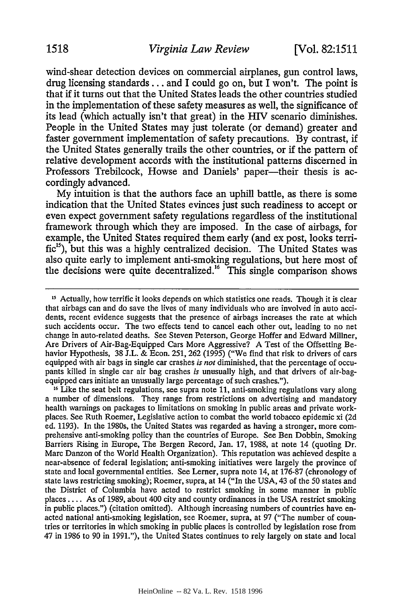wind-shear detection devices on commercial airplanes, gun control laws, drug licensing standards... and I could go on, but I won't. The point is that if it turns out that the United States leads the other countries studied in the implementation of these safety measures as well, the significance of its lead (which actually isn't that great) in the HIV scenario diminishes. People in the United States may just tolerate (or demand) greater and faster government implementation of safety precautions. By contrast, if the United States generally trails the other countries, or if the pattern of relative development accords with the institutional patterns discerned in Professors Trebilcock, Howse and Daniels' paper—their thesis is accordingly advanced.

My intuition is that the authors face an uphill battle, as there is some indication that the United States evinces just such readiness to accept or even expect government safety regulations regardless of the institutional framework through which they are imposed. In the case of airbags, for example, the United States required them early (and ex post, looks terrific<sup>15</sup>), but this was a highly centralized decision. The United States was also quite early to implement anti-smoking regulations, but here most of the decisions were quite decentralized." This single comparison shows

**<sup>16</sup>**Like the seat belt regulations, see supra note 11, anti-smoking regulations vary along a number of dimensions. They range from restrictions on advertising and mandatory health warnings on packages to limitations on smoking in public areas and private workplaces. See Ruth Roemer, Legislative action to combat the world tobacco epidemic xi (2d ed. 1193). In the 1980s, the United States was regarded as having a stronger, more comprehensive anti-smoking policy than the countries of Europe. See Ben Dobbin, Smoking Barriers Rising in Europe, The Bergen Record, Jan. 17, 1988, at note 14 (quoting Dr. Marc Danzon of the World Health Organization). This reputation was achieved despite a near-absence of federal legislation; anti-smoking initiatives were largely the province of state and local governmental entities. See Lerner, supra note 14, at 176-87 (chronology of state laws restricting smoking); Roemer, supra, at 14 ("In the USA, 43 of the 50 states and the District of Columbia have acted to restrict smoking in some manner in public places .... As of 1989, about 400 city and county ordinances in the USA restrict smoking in public places.") (citation omitted). Although increasing numbers of countries have enacted national anti-smoking legislation, see Roemer, supra, at 97 ("The number of countries or territories in which smoking in public places is controlled by legislation rose from 47 in 1986 to 90 in 1991."), the United States continues to rely largely on state and local

<sup>&</sup>lt;sup>15</sup> Actually, how terrific it looks depends on which statistics one reads. Though it is clear that airbags can and do save the lives of many individuals who are involved in auto accidents, recent evidence suggests that the presence of airbags increases the rate at which such accidents occur. The two effects tend to cancel each other out, leading to no net change in auto-related deaths. See Steven Peterson, George Hoffer and Edward Millner, Are Drivers of Air-Bag-Equipped Cars More Aggressive? A Test of the Offsetting Behavior Hypothesis, 38 J.L. & Econ. 251, 262 (1995) ("We find that risk to drivers of cars equipped with air bags in single car crashes *is not* diminished, that the percentage of occupants killed in single car air bag crashes *is* unusually high, and that drivers of air-bagequipped cars initiate an unusually large percentage of such crashes.").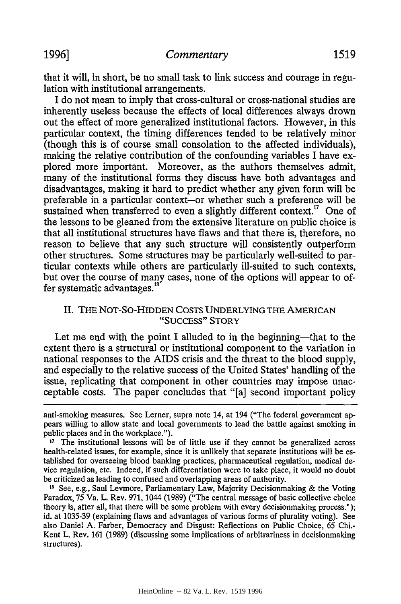that it will, in short, be no small task to link success and courage in regulation with institutional arrangements.

I do not mean to imply that cross-cultural or cross-national studies are inherently useless because the effects of local differences always drown out the effect of more generalized institutional factors. However, in this particular context, the timing differences tended to be relatively minor (though this is of course small consolation to the affected individuals), making the relative contribution of the confounding variables I have explored more important. Moreover, as the authors themselves admit, many of the institutional forms they discuss have both advantages and disadvantages, making it hard to predict whether any given form will be preferable in a particular context-or whether such a preference will be sustained when transferred to even a slightly different context.<sup>17</sup> One of the lessons to be gleaned from the extensive literature on public choice is that all institutional structures have flaws and that there is, therefore, no reason to believe that any such structure will consistently outperform other structures. Some structures may be particularly well-suited to particular contexts while others are particularly ill-suited to such contexts, but over the course of many cases, none of the options will appear to offer systematic advantages.<sup>18</sup>

# II. THE NOT-So-HIDDEN COSTS UNDERLYING THE AMERICAN "SUCCESS" STORY

Let me end with the point I alluded to in the beginning—that to the extent there is a structural or institutional component to the variation in national responses to the AIDS crisis and the threat to the blood supply, and especially to the relative success of the United States' handling of the issue, replicating that component in other countries may impose unacceptable costs. The paper concludes that "[a] second important policy

anti-smoking measures. See Lerner, supra note 14, at 194 ("The federal government appears willing to allow state and local governments to lead the battle against smoking in public places and in the workplace.").<br><sup>17</sup> The institutional lessons will be of little use if they cannot be generalized across

health-related issues, for example, since it is unlikely that separate institutions will be established for overseeing blood banking practices, pharmaceutical regulation, medical device regulation, etc. Indeed, if such differentiation were to take place, it would no doubt be criticized as leading to confused and overlapping areas of authority.<br><sup>18</sup> See, e.g., Saul Levmore, Parliamentary Law, Majority Decisionmaking & the Voting

Paradox, 75 Va. L. Rev. 971, 1044 (1989) ("The central message of basic collective choice theory is, after all, that there will be some problem with every decisionmaking process."); id. at 1035-39 (explaining flaws and advantages of various forms of plurality voting). See also Daniel A. Farber, Democracy and Disgust: Reflections on Public Choice, 65 Chi.- Kent L. Rev. **161** (1989) (discussing some implications of arbitrariness in decisionmaking structures).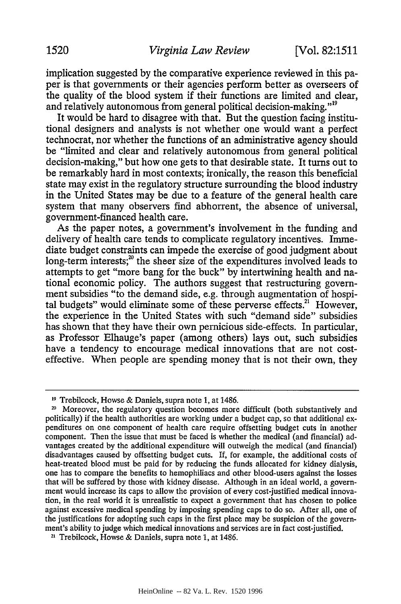implication suggested by the comparative experience reviewed in this paper is that governments or their agencies perform better as overseers of the quality of the blood system if their functions are limited and clear, and relatively autonomous from general political decision-making."<sup>19</sup>

It would be hard to disagree with that. But the question facing institutional designers and analysts is not whether one would want a perfect technocrat, nor whether the functions of an administrative agency should be "limited and clear and relatively autonomous from general political decision-making," but how one gets to that desirable state. It turns out to be remarkably hard in most contexts; ironically, the reason this beneficial state may exist in the regulatory structure surrounding the blood industry in the United States may be due to a feature of the general health care system that many observers find abhorrent, the absence of universal, government-financed health care.

As the paper notes, a government's involvement in the funding and delivery of health care tends to complicate regulatory incentives. Immediate budget constraints can impede the exercise of good judgment about long-term interests; $^{20}$  the sheer size of the expenditures involved leads to attempts to get "more bang for the buck" by intertwining health and national economic policy. The authors suggest that restructuring government subsidies "to the demand side, e.g. through augmentation of hospital budgets" would eliminate some of these perverse effects.<sup>21</sup> However, the experience in the United States with such "demand side" subsidies has shown that they have their own pernicious side-effects. In particular, as Professor Elhauge's paper (among others) lays out, such subsidies have a tendency to encourage medical innovations that are not costeffective. When people are spending money that is not their own, they

**<sup>11</sup>** Trebilcock, Howse & Daniels, supra note 1, at 1486.

<sup>&</sup>lt;sup>20</sup> Moreover, the regulatory question becomes more difficult (both substantively and politically) if the health authorities are working under a budget cap, so that additional expenditures on one component of health care require offsetting budget cuts in another component. Then the issue that must be faced is whether the medical (and financial) advantages created by the additional expenditure will outweigh the medical (and financial) disadvantages caused by offsetting budget cuts. If, for example, the additional costs of heat-treated blood must be paid for by reducing the funds allocated for kidney dialysis, one has to compare the benefits to hemophiliacs and other blood-users against the losses that will be suffered by those with kidney disease. Although in an ideal world, a government would increase its caps to allow the provision of every cost-justified medical innovation, in the real world it is unrealistic to expect a government that has chosen to police against excessive medical spending by imposing spending caps to do so. After all, one of the justifications for adopting such caps in the first place may be suspicion of the government's ability to judge which medical innovations and services are in fact cost-justified.

**<sup>21</sup>**Trebilcock, Howse & Daniels, supra note 1, at 1486.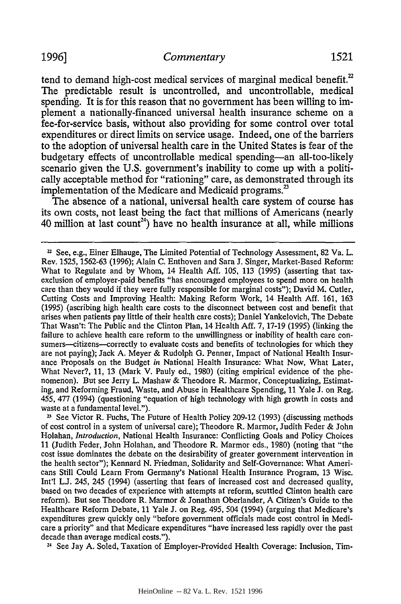tend to demand high-cost medical services of marginal medical benefit.<sup>22</sup> The predictable result is uncontrolled, and uncontrollable, medical spending. It is for this reason that no government has been willing to implement a nationally-financed universal health insurance scheme on a fee-for-service basis, without also providing for some control over total expenditures or direct limits on service usage. Indeed, one of the barriers to the adoption of universal health care in the United States is fear of the budgetary effects of uncontrollable medical spending-an all-too-likely scenario given the U.S. government's inability to come up with a politically acceptable method for "rationing" care, as demonstrated through its implementation of the Medicare and Medicaid programs.<sup>23</sup>

The absence of a national, universal health care system of course has its own costs, not least being the fact that millions of Americans (nearly 40 million at last count24 ) have no health insurance at all, while millions

<sup>23</sup> See Victor R. Fuchs, The Future of Health Policy 209-12 (1993) (discussing methods of cost control in a system of universal care); Theodore R. Marmor, Judith Feder & John Holahan, *Introduction,* National Health Insurance: Conflicting Goals and Policy Choices 11 (Judith Feder, John Holahan, and Theodore R. Marmor eds., 1980) (noting that "the cost issue dominates the debate on the desirability of greater government intervention in the health sector"); Kennard N. Friedman, Solidarity and Self-Governance: What Americans Still Could Learn From Germany's National Health Insurance Program, 13 Wisc. Int'l L.J. 245, 245 (1994) (asserting that fears of increased cost and decreased quality, based on two decades of experience with attempts at reform, scuttled Clinton health care reform). But see Theodore R. Marmor & Jonathan Oberlander, A Citizen's Guide to the Healthcare Reform Debate, 11 Yale J. on Reg. 495, 504 (1994) (arguing that Medicare's expenditures grew quickly only "before government officials made cost control in Medicare a priority" and that Medicare expenditures "have increased less rapidly over the past decade than average medical costs.").

**24** See Jay A. Soled, Taxation of Employer-Provided Health Coverage: Inclusion, Tim-

 $22$  See, e.g., Einer Elhauge, The Limited Potential of Technology Assessment, 82 Va. L. Rev. 1525, 1562-63 (1996); Alain C. Enthoven and Sara J. Singer, Market-Based Reform: What to Regulate and by Whom, 14 Health Aff. 105, 113 (1995) (asserting that taxexclusion of employer-paid benefits "has encouraged employees to spend more on health care than they would if they were fully responsible for marginal costs"); David M. Cutler, Cutting Costs and Improving Health: Making Reform Work, 14 Health Aff. 161, 163 (1995) (ascribing high health care costs to the disconnect between cost and benefit that arises when patients pay little of their health care costs); Daniel Yankelovich, The Debate That Wasn't: The Public and the Clinton Plan, 14 Health Aff. 7, 17-19 (1995) (linking the failure to achieve health care reform to the unwillingness or inability of health care consumers—citizens—correctly to evaluate costs and benefits of technologies for which they are not paying); Jack A. Meyer & Rudolph G. Penner, Impact of National Health Insurance Proposals on the Budget *in* National Health Insurance: What Now, What Later, What Never?, 11, 13 (Mark V. Pauly ed., 1980) (citing empirical evidence of the phenomenon). But see Jerry L. Mashaw & Theodore R. Marmor, Conceptualizing, Estimating, and Reforming Fraud, Waste, and Abuse in Healthcare Spending, 11 Yale J. on Reg. 455, 477 (1994) (questioning "equation of high technology with high growth in costs and waste at a fundamental level.").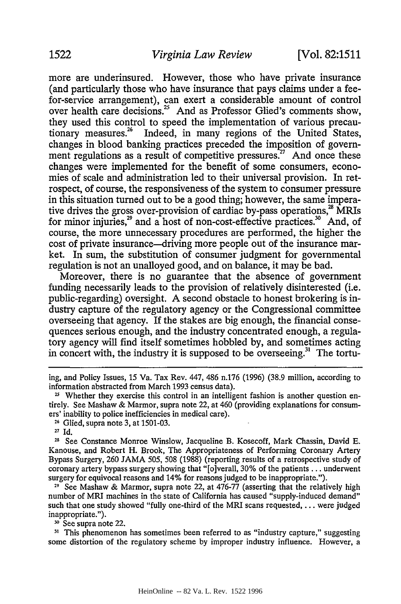more are underinsured. However, those who have private insurance (and particularly those who have insurance that pays claims under a feefor-service arrangement), can exert a considerable amount of control over health care decisions.<sup>25</sup> And as Professor Glied's comments show, they used this control to speed the implementation of various precautionary measures.<sup>26</sup> Indeed, in many regions of the United States changes in blood banking practices preceded the imposition of government regulations as a result of competitive pressures.<sup>27</sup> And once these changes were implemented for the benefit of some consumers, economies of scale and administration led to their universal provision. In retrospect, of course, the responsiveness of the system to consumer pressure in this situation turned out to be a good thing; however, the same imperative drives the gross over-provision of cardiac by-pass operations, $^{28}$  MRIs for minor injuries,<sup>29</sup> and a host of non-cost-effective practices.<sup>30</sup> And, of course, the more unnecessary procedures are performed, the higher the cost of private insurance-driving more people out of the insurance market. In sum, the substitution of consumer judgment for governmental regulation is not an unalloyed good, and on balance, it may be bad.

Moreover, there is no guarantee that the absence of government funding necessarily leads to the provision of relatively disinterested (i.e. public-regarding) oversight. A second obstacle to honest brokering is industry capture of the regulatory agency or the Congressional committee overseeing that agency. If the stakes are big enough, the financial consequences serious enough, and the industry concentrated enough, a regulatory agency will find itself sometimes hobbled by, and sometimes acting in concert with, the industry it is supposed to be overseeing.<sup>31</sup> The tortu-

**26** Glied, supra note 3, at 1501-03.

**28** See Constance Monroe Winslow, Jacqueline B. Kosecoff, Mark Chassin, David E. Kanouse, and Robert H. Brook, The Appropriateness of Performing Coronary Artery Bypass Surgery, 260 JAMA 505, 508 (1988) (reporting results of a retrospective study of coronary artery bypass surgery showing that "[o]verall, 30% of the patients **...** underwent surgery for equivocal reasons and 14% for reasons judged to be inappropriate.").

**29** See Mashaw & Marmor, supra note 22, at 476-77 (asserting that the relatively high number of MRI machines in the state of California has caused "supply-induced demand" such that one study showed "fully one-third of the MRI scans requested,  $\dots$  were judged inappropriate.").

**30** See supra note 22.

**<sup>31</sup>**This phenomenon has sometimes been referred to as "industry capture," suggesting some distortion of the regulatory scheme by improper industry influence. However, a

ing, and Policy Issues, 15 Va. Tax Rev. 447, 486 n.176 (1996) (38.9 million, according to information abstracted from March 1993 census data).

<sup>&</sup>lt;sup>25</sup> Whether they exercise this control in an intelligent fashion is another question entirely. See Mashaw & Marmor, supra note 22, at 460 (providing explanations for consumers' inability to police inefficiencies in medical care).

**<sup>27</sup>** Id.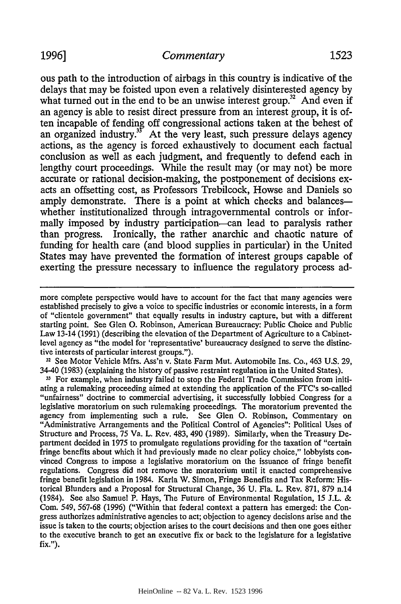# 1996] *Commentary* 1523

delays that may be foisted upon even a relatively disinterested agency by what turned out in the end to be an unwise interest group.<sup>32</sup> And even if an agency is able to resist direct pressure from an interest group, it is often incapable of fending off congressional actions taken at the behest of an organized industry. $3<sup>3</sup>$  At the very least, such pressure delays agency actions, as the agency is forced exhaustively to document each factual conclusion as well as each judgment, and frequently to defend each in lengthy court proceedings. While the result may (or may not) be more accurate or rational decision-making, the postponement of decisions exacts an offsetting cost, as Professors Trebilcock, Howse and Daniels so amply demonstrate. There is a point at which checks and balances whether institutionalized through intragovemmental controls or informally imposed by industry participation-can lead to paralysis rather than progress. Ironically, the rather anarchic and chaotic nature of funding for health care (and blood supplies in particular) in the United States may have prevented the formation of interest groups capable of exerting the pressure necessary to influence the regulatory process ad-

**11** See Motor Vehicle Mfrs. Ass'n v. State Farm Mut. Automobile Ins. Co., 463 U.S. 29, 34-40 (1983) (explaining the history of passive restraint regulation in the United States).

**31** For example, when industry failed to stop the Federal Trade Commission from initiating a rulemaking proceeding aimed at extending the application of the FTC's so-called "unfairness" doctrine to commercial advertising, it successfully lobbied Congress for a legislative moratorium on such rulemaking proceedings. The moratorium prevented the agency from implementing such a rule. See Glen **0.** Robinson, Commentary on "Administrative Arrangements and the Political Control of Agencies": Political Uses of Structure and Process, 75 Va. L. Rev. 483, 490 (1989). Similarly, when the Treasury Department decided in 1975 to promulgate regulations providing for the taxation of "certain fringe benefits about which it had previously made no clear policy choice," lobbyists convinced Congress to impose a legislative moratorium on the issuance of fringe benefit regulations. Congress did not remove the moratorium until it enacted comprehensive fringe benefit legislation in 1984. Karla W. Simon, Fringe Benefits and Tax Reform: Historical Blunders and a Proposal for Structural Change, 36 U. Fla. L. Rev. 871, 879 n.14 (1984). See also Samuel P. Hays, The Future of Environmental Regulation, 15 J.L. & Com. 549, 567-68 (1996) ("Within that federal context a pattern has emerged: the Congress authorizes administrative agencies to act; objection to agency decisions arise and the issue is taken to the courts; objection arises to the court decisions and then one goes either to the executive branch to get an executive fix or back to the legislature for a legislative fix.").

more complete perspective would have to account for the fact that many agencies were established precisely to give a voice to specific industries or economic interests, in a form of "clientele government" that equally results in industry capture, but with a different starting point. See Glen **0.** Robinson, American Bureaucracy: Public Choice and Public Law 13-14 (1991) (describing the elevation of the Department of Agriculture to a Cabinetlevel agency as "the model for 'representative' bureaucracy designed to serve the distinctive interests of particular interest groups.").